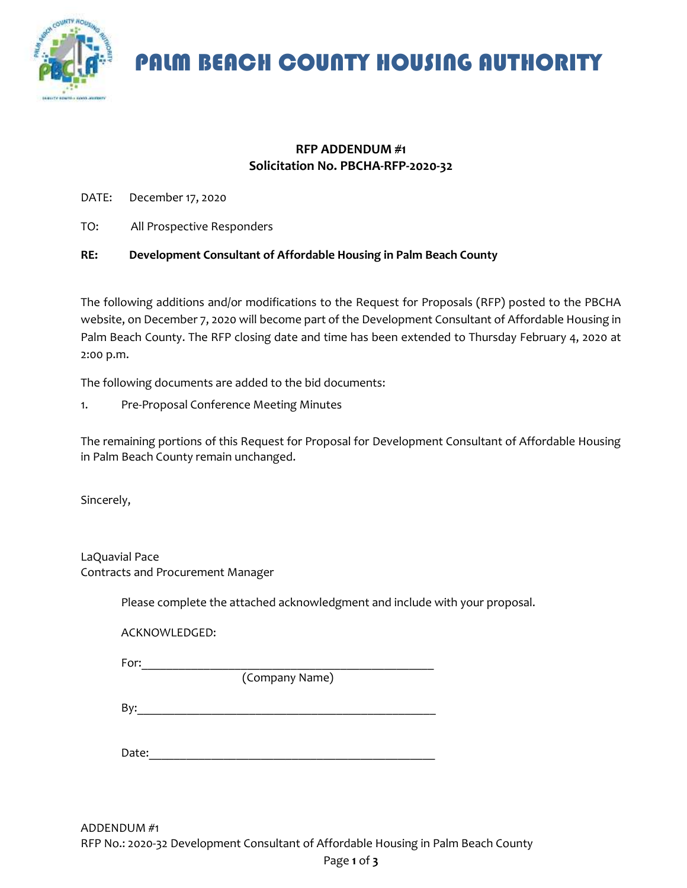

PALM BEACH COUNTY HOUSING AUTHORITY

#### **RFP ADDENDUM #1 Solicitation No. PBCHA-RFP-2020-32**

DATE: December 17, 2020

TO: All Prospective Responders

#### **RE: Development Consultant of Affordable Housing in Palm Beach County**

The following additions and/or modifications to the Request for Proposals (RFP) posted to the PBCHA website, on December 7, 2020 will become part of the Development Consultant of Affordable Housing in Palm Beach County. The RFP closing date and time has been extended to Thursday February 4, 2020 at 2:00 p.m.

The following documents are added to the bid documents:

1. Pre-Proposal Conference Meeting Minutes

The remaining portions of this Request for Proposal for Development Consultant of Affordable Housing in Palm Beach County remain unchanged.

Sincerely,

LaQuavial Pace Contracts and Procurement Manager

Please complete the attached acknowledgment and include with your proposal.

ACKNOWLEDGED:

For:\_\_\_\_\_\_\_\_\_\_\_\_\_\_\_\_\_\_\_\_\_\_\_\_\_\_\_\_\_\_\_\_\_\_\_\_\_\_\_\_\_\_\_\_\_\_\_

(Company Name)

 $\mathsf{By:}$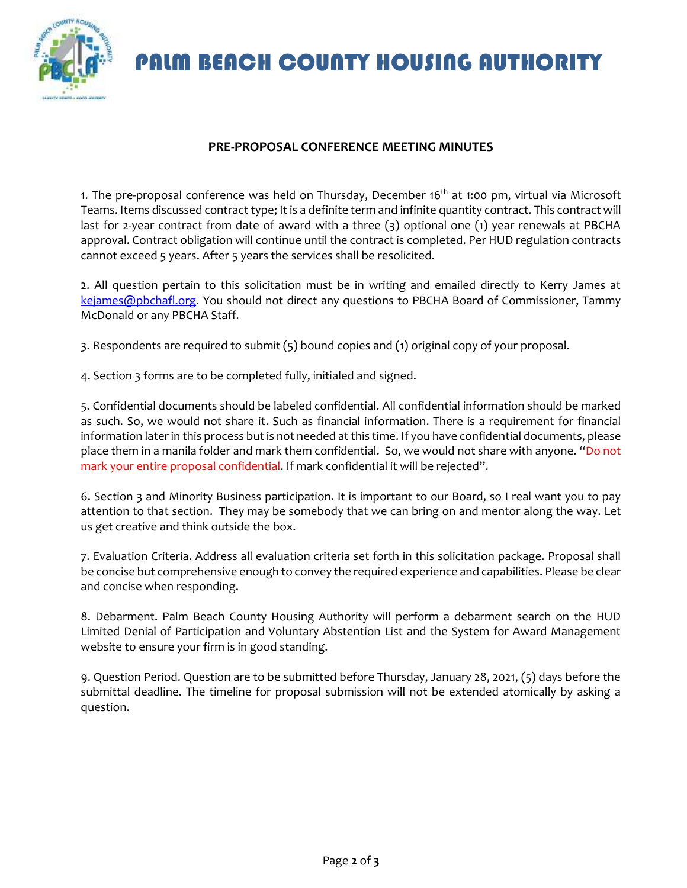## PALM BEACH COUNTY HOUSING AUTHORITY

### **PRE-PROPOSAL CONFERENCE MEETING MINUTES**

1. The pre-proposal conference was held on Thursday, December 16<sup>th</sup> at 1:00 pm, virtual via Microsoft Teams. Items discussed contract type; It is a definite term and infinite quantity contract. This contract will last for 2-year contract from date of award with a three (3) optional one (1) year renewals at PBCHA approval. Contract obligation will continue until the contract is completed. Per HUD regulation contracts cannot exceed 5 years. After 5 years the services shall be resolicited.

2. All question pertain to this solicitation must be in writing and emailed directly to Kerry James at [kejames@pbchafl.org.](mailto:kejames@pbchafl.org) You should not direct any questions to PBCHA Board of Commissioner, Tammy McDonald or any PBCHA Staff.

3. Respondents are required to submit (5) bound copies and (1) original copy of your proposal.

4. Section 3 forms are to be completed fully, initialed and signed.

5. Confidential documents should be labeled confidential. All confidential information should be marked as such. So, we would not share it. Such as financial information. There is a requirement for financial information later in this process but is not needed at this time. If you have confidential documents, please place them in a manila folder and mark them confidential. So, we would not share with anyone. "Do not mark your entire proposal confidential. If mark confidential it will be rejected".

6. Section 3 and Minority Business participation. It is important to our Board, so I real want you to pay attention to that section. They may be somebody that we can bring on and mentor along the way. Let us get creative and think outside the box.

7. Evaluation Criteria. Address all evaluation criteria set forth in this solicitation package. Proposal shall be concise but comprehensive enough to convey the required experience and capabilities. Please be clear and concise when responding.

8. Debarment. Palm Beach County Housing Authority will perform a debarment search on the HUD Limited Denial of Participation and Voluntary Abstention List and the System for Award Management website to ensure your firm is in good standing.

9. Question Period. Question are to be submitted before Thursday, January 28, 2021, (5) days before the submittal deadline. The timeline for proposal submission will not be extended atomically by asking a question.